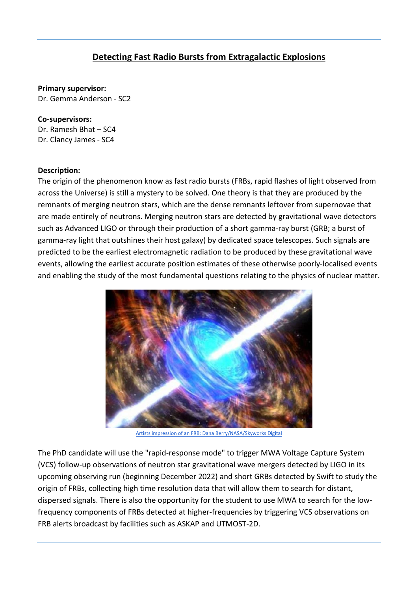## **Detecting Fast Radio Bursts from Extragalactic Explosions**

**Primary supervisor:** Dr. Gemma Anderson - SC2

**Co-supervisors:** Dr. Ramesh Bhat – SC4 Dr. Clancy James - SC4

## **Description:**

The origin of the phenomenon know as fast radio bursts (FRBs, rapid flashes of light observed from across the Universe) is still a mystery to be solved. One theory is that they are produced by the remnants of merging neutron stars, which are the dense remnants leftover from supernovae that are made entirely of neutrons. Merging neutron stars are detected by gravitational wave detectors such as Advanced LIGO or through their production of a short gamma-ray burst (GRB; a burst of gamma-ray light that outshines their host galaxy) by dedicated space telescopes. Such signals are predicted to be the earliest electromagnetic radiation to be produced by these gravitational wave events, allowing the earliest accurate position estimates of these otherwise poorly-localised events and enabling the study of the most fundamental questions relating to the physics of nuclear matter.



[Artists impression of an FRB: Dana Berry/NASA/Skyworks Digital](https://slate.com/technology/2016/02/fast-radio-bursts-finally-identified-as-being-very-far-away.html)

The PhD candidate will use the "rapid-response mode" to trigger MWA Voltage Capture System (VCS) follow-up observations of neutron star gravitational wave mergers detected by LIGO in its upcoming observing run (beginning December 2022) and short GRBs detected by Swift to study the origin of FRBs, collecting high time resolution data that will allow them to search for distant, dispersed signals. There is also the opportunity for the student to use MWA to search for the lowfrequency components of FRBs detected at higher-frequencies by triggering VCS observations on FRB alerts broadcast by facilities such as ASKAP and UTMOST-2D.